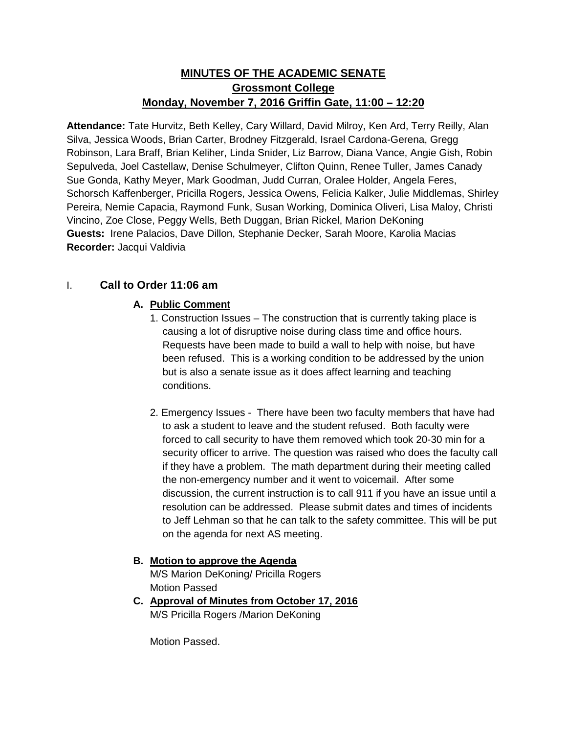# **MINUTES OF THE ACADEMIC SENATE Grossmont College Monday, November 7, 2016 Griffin Gate, 11:00 – 12:20**

**Attendance:** Tate Hurvitz, Beth Kelley, Cary Willard, David Milroy, Ken Ard, Terry Reilly, Alan Silva, Jessica Woods, Brian Carter, Brodney Fitzgerald, Israel Cardona-Gerena, Gregg Robinson, Lara Braff, Brian Keliher, Linda Snider, Liz Barrow, Diana Vance, Angie Gish, Robin Sepulveda, Joel Castellaw, Denise Schulmeyer, Clifton Quinn, Renee Tuller, James Canady Sue Gonda, Kathy Meyer, Mark Goodman, Judd Curran, Oralee Holder, Angela Feres, Schorsch Kaffenberger, Pricilla Rogers, Jessica Owens, Felicia Kalker, Julie Middlemas, Shirley Pereira, Nemie Capacia, Raymond Funk, Susan Working, Dominica Oliveri, Lisa Maloy, Christi Vincino, Zoe Close, Peggy Wells, Beth Duggan, Brian Rickel, Marion DeKoning **Guests:** Irene Palacios, Dave Dillon, Stephanie Decker, Sarah Moore, Karolia Macias **Recorder:** Jacqui Valdivia

## I. **Call to Order 11:06 am**

## **A. Public Comment**

- 1. Construction Issues The construction that is currently taking place is causing a lot of disruptive noise during class time and office hours. Requests have been made to build a wall to help with noise, but have been refused. This is a working condition to be addressed by the union but is also a senate issue as it does affect learning and teaching conditions.
- 2. Emergency Issues There have been two faculty members that have had to ask a student to leave and the student refused. Both faculty were forced to call security to have them removed which took 20-30 min for a security officer to arrive. The question was raised who does the faculty call if they have a problem. The math department during their meeting called the non-emergency number and it went to voicemail. After some discussion, the current instruction is to call 911 if you have an issue until a resolution can be addressed. Please submit dates and times of incidents to Jeff Lehman so that he can talk to the safety committee. This will be put on the agenda for next AS meeting.

**B. Motion to approve the Agenda** M/S Marion DeKoning/ Pricilla Rogers Motion Passed

**C. Approval of Minutes from October 17, 2016** M/S Pricilla Rogers /Marion DeKoning

Motion Passed.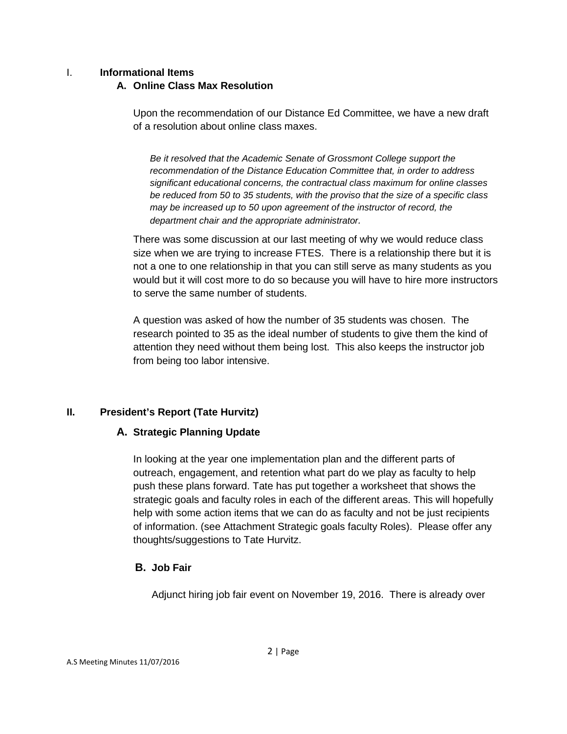#### I. **Informational Items**

### **A. Online Class Max Resolution**

Upon the recommendation of our Distance Ed Committee, we have a new draft of a resolution about online class maxes.

*Be it resolved that the Academic Senate of Grossmont College support the recommendation of the Distance Education Committee that, in order to address significant educational concerns, the contractual class maximum for online classes be reduced from 50 to 35 students, with the proviso that the size of a specific class may be increased up to 50 upon agreement of the instructor of record, the department chair and the appropriate administrator.*

There was some discussion at our last meeting of why we would reduce class size when we are trying to increase FTES. There is a relationship there but it is not a one to one relationship in that you can still serve as many students as you would but it will cost more to do so because you will have to hire more instructors to serve the same number of students.

A question was asked of how the number of 35 students was chosen. The research pointed to 35 as the ideal number of students to give them the kind of attention they need without them being lost. This also keeps the instructor job from being too labor intensive.

## **II. President's Report (Tate Hurvitz)**

## **A. Strategic Planning Update**

In looking at the year one implementation plan and the different parts of outreach, engagement, and retention what part do we play as faculty to help push these plans forward. Tate has put together a worksheet that shows the strategic goals and faculty roles in each of the different areas. This will hopefully help with some action items that we can do as faculty and not be just recipients of information. (see Attachment Strategic goals faculty Roles). Please offer any thoughts/suggestions to Tate Hurvitz.

## **B. Job Fair**

Adjunct hiring job fair event on November 19, 2016. There is already over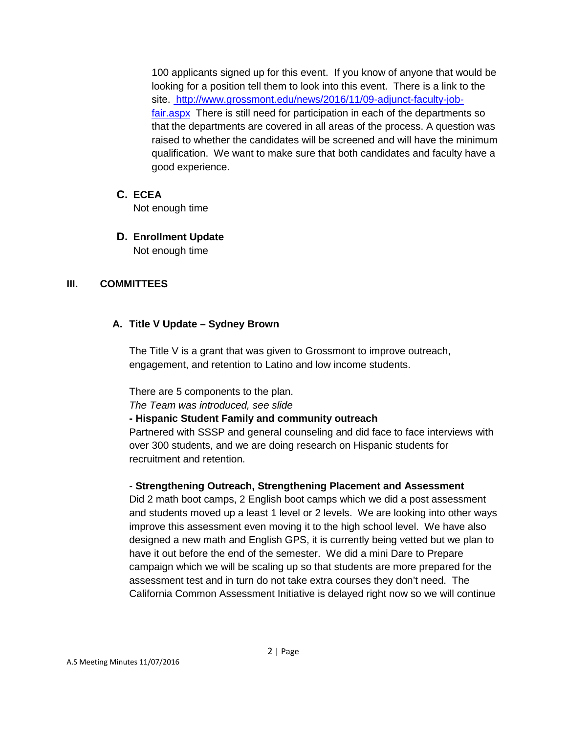100 applicants signed up for this event. If you know of anyone that would be looking for a position tell them to look into this event. There is a link to the site. [http://www.grossmont.edu/news/2016/11/09-adjunct-faculty-job](http://www.grossmont.edu/news/2016/11/09-adjunct-faculty-job-fair.aspx)[fair.aspx](http://www.grossmont.edu/news/2016/11/09-adjunct-faculty-job-fair.aspx) There is still need for participation in each of the departments so that the departments are covered in all areas of the process. A question was raised to whether the candidates will be screened and will have the minimum qualification. We want to make sure that both candidates and faculty have a good experience.

### **C. ECEA**

Not enough time

### **D. Enrollment Update** Not enough time

## **III. COMMITTEES**

## **A. Title V Update – Sydney Brown**

The Title V is a grant that was given to Grossmont to improve outreach, engagement, and retention to Latino and low income students.

There are 5 components to the plan.

*The Team was introduced, see slide*

**- Hispanic Student Family and community outreach**

Partnered with SSSP and general counseling and did face to face interviews with over 300 students, and we are doing research on Hispanic students for recruitment and retention.

## - **Strengthening Outreach, Strengthening Placement and Assessment**

Did 2 math boot camps, 2 English boot camps which we did a post assessment and students moved up a least 1 level or 2 levels. We are looking into other ways improve this assessment even moving it to the high school level. We have also designed a new math and English GPS, it is currently being vetted but we plan to have it out before the end of the semester. We did a mini Dare to Prepare campaign which we will be scaling up so that students are more prepared for the assessment test and in turn do not take extra courses they don't need. The California Common Assessment Initiative is delayed right now so we will continue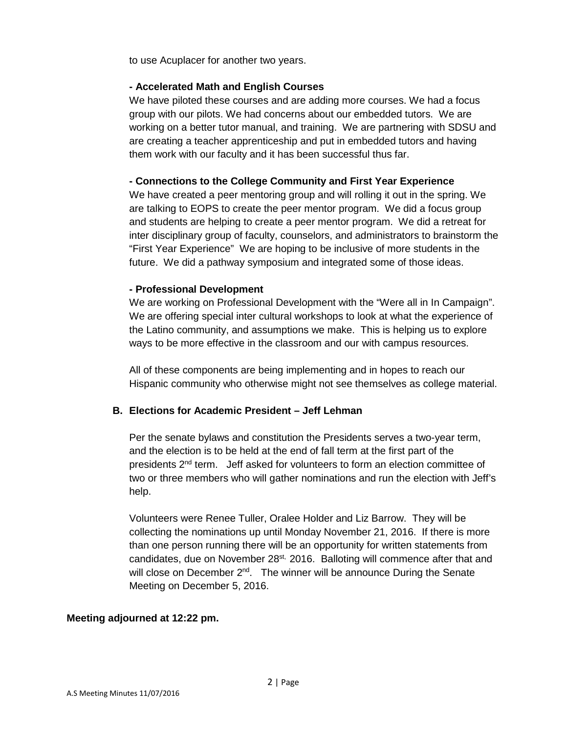to use Acuplacer for another two years.

#### **- Accelerated Math and English Courses**

We have piloted these courses and are adding more courses. We had a focus group with our pilots. We had concerns about our embedded tutors. We are working on a better tutor manual, and training. We are partnering with SDSU and are creating a teacher apprenticeship and put in embedded tutors and having them work with our faculty and it has been successful thus far.

#### **- Connections to the College Community and First Year Experience**

We have created a peer mentoring group and will rolling it out in the spring. We are talking to EOPS to create the peer mentor program. We did a focus group and students are helping to create a peer mentor program. We did a retreat for inter disciplinary group of faculty, counselors, and administrators to brainstorm the "First Year Experience" We are hoping to be inclusive of more students in the future. We did a pathway symposium and integrated some of those ideas.

#### **- Professional Development**

We are working on Professional Development with the "Were all in In Campaign". We are offering special inter cultural workshops to look at what the experience of the Latino community, and assumptions we make. This is helping us to explore ways to be more effective in the classroom and our with campus resources.

All of these components are being implementing and in hopes to reach our Hispanic community who otherwise might not see themselves as college material.

### **B. Elections for Academic President – Jeff Lehman**

Per the senate bylaws and constitution the Presidents serves a two-year term, and the election is to be held at the end of fall term at the first part of the presidents 2<sup>nd</sup> term. Jeff asked for volunteers to form an election committee of two or three members who will gather nominations and run the election with Jeff's help.

Volunteers were Renee Tuller, Oralee Holder and Liz Barrow. They will be collecting the nominations up until Monday November 21, 2016. If there is more than one person running there will be an opportunity for written statements from candidates, due on November  $28<sup>st</sup>$ , 2016. Balloting will commence after that and will close on December 2<sup>nd</sup>. The winner will be announce During the Senate Meeting on December 5, 2016.

### **Meeting adjourned at 12:22 pm.**